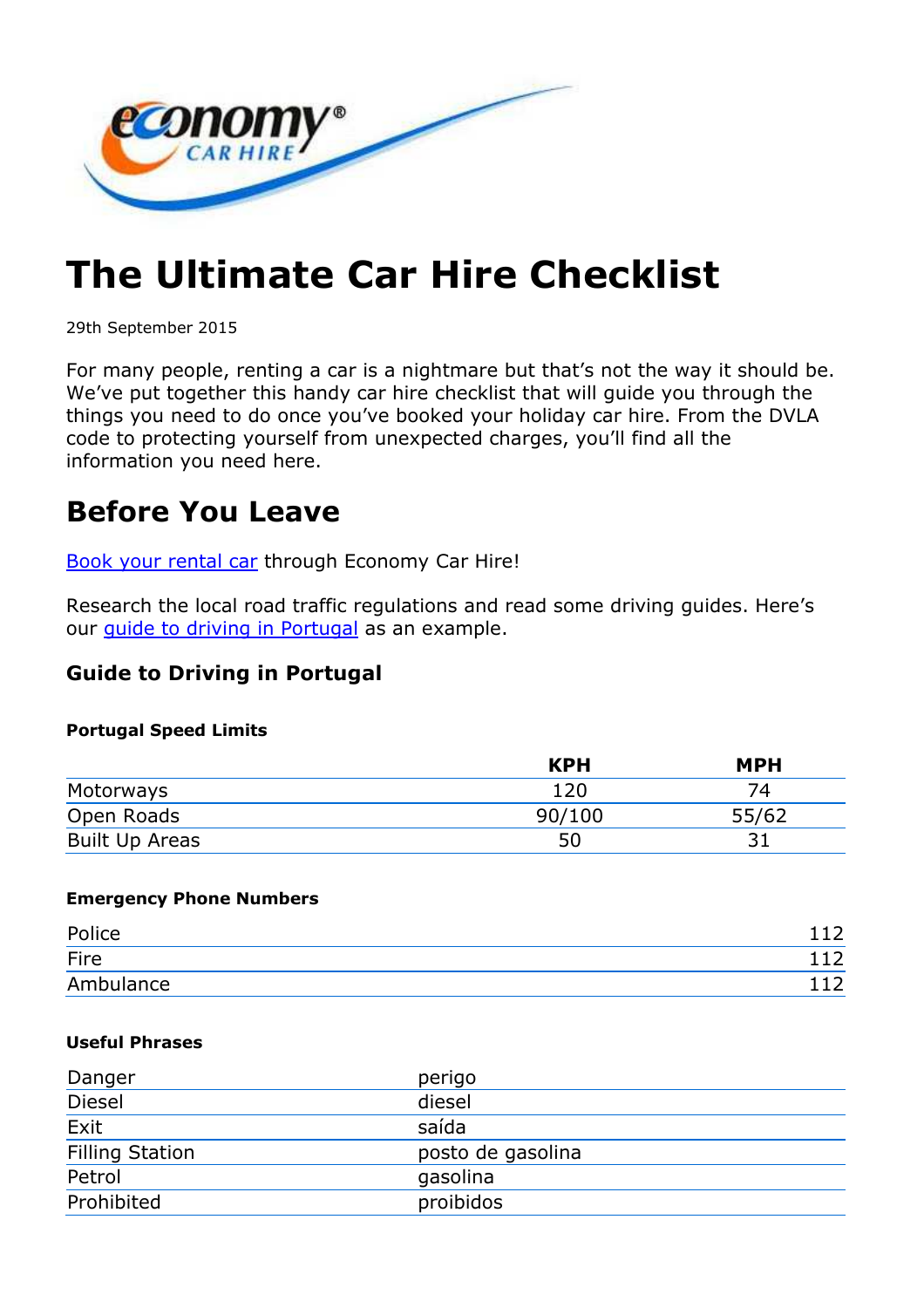

# **The Ultimate Car Hire Checklist**

29th September 2015

For many people, renting a car is a nightmare but that's not the way it should be. We've put together this handy car hire checklist that will guide you through the things you need to do once you've booked your holiday car hire. From the DVLA code to protecting yourself from unexpected charges, you'll find all the information you need here.

### **Before You Leave**

Book your rental car through Economy Car Hire!

Research the local road traffic regulations and read some driving guides. Here's our guide to driving in Portugal as an example.

#### **Guide to Driving in Portugal**

#### **Portugal Speed Limits**

|                       | <b>KPH</b> | <b>MPH</b> |
|-----------------------|------------|------------|
| Motorways             | 120        |            |
| Open Roads            | 90/100     | 55/62      |
| <b>Built Up Areas</b> | 50         |            |

#### **Emergency Phone Numbers**

| Police    | $\sim$         |
|-----------|----------------|
| Fire      | $\overline{ }$ |
| Ambulance | $\sim$         |

#### **Useful Phrases**

| Danger                 | perigo            |
|------------------------|-------------------|
| Diesel                 | diesel            |
| Exit                   | saída             |
| <b>Filling Station</b> | posto de gasolina |
| Petrol                 | gasolina          |
| Prohibited             | proibidos         |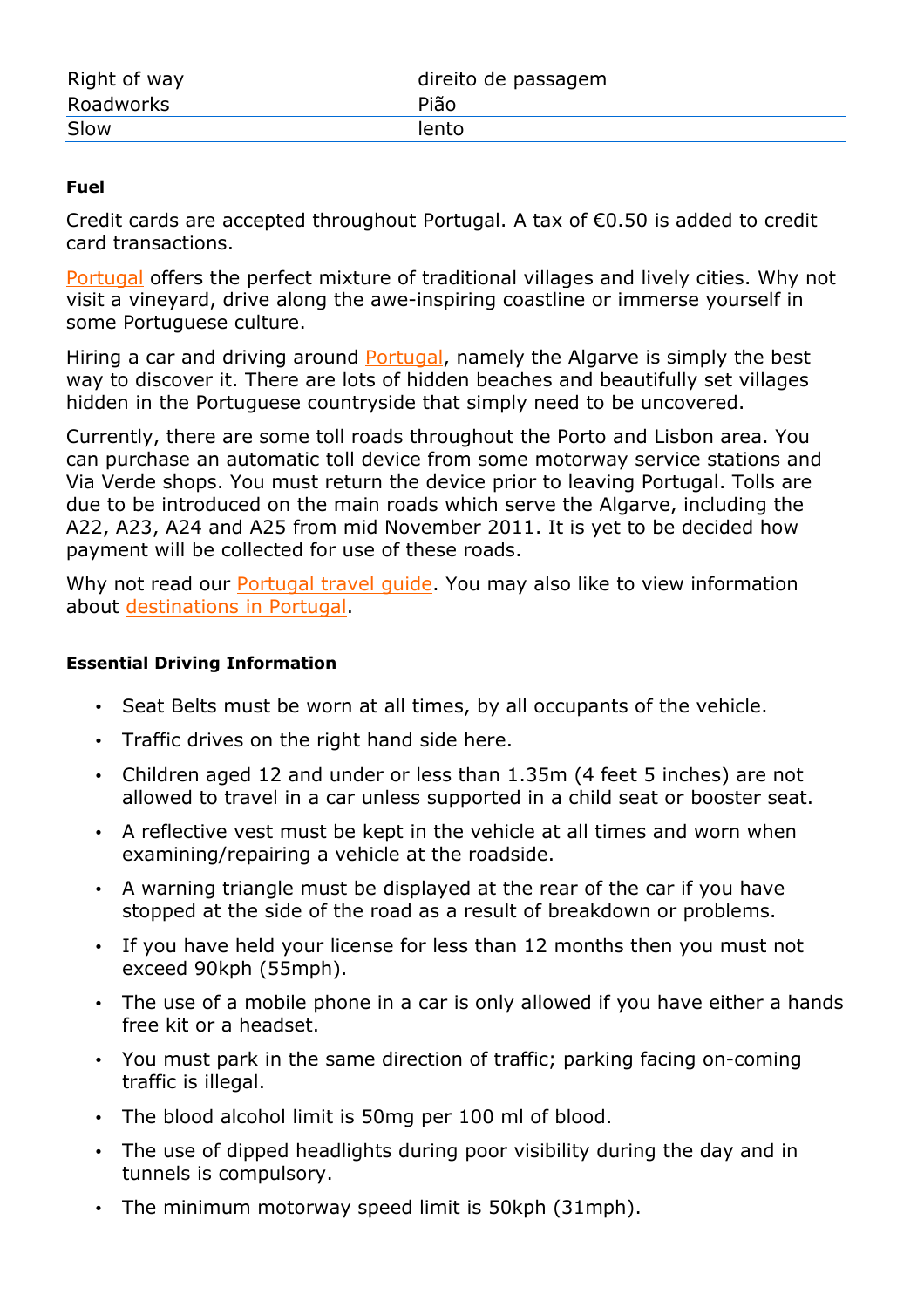| Right of way | direito de passagem |
|--------------|---------------------|
| Roadworks    | Pião                |
| Slow         | lento               |

#### **Fuel**

Credit cards are accepted throughout Portugal. A tax of €0.50 is added to credit card transactions.

Portugal offers the perfect mixture of traditional villages and lively cities. Why not visit a vineyard, drive along the awe-inspiring coastline or immerse yourself in some Portuguese culture.

Hiring a car and driving around **Portugal**, namely the Algarve is simply the best way to discover it. There are lots of hidden beaches and beautifully set villages hidden in the Portuguese countryside that simply need to be uncovered.

Currently, there are some toll roads throughout the Porto and Lisbon area. You can purchase an automatic toll device from some motorway service stations and Via Verde shops. You must return the device prior to leaving Portugal. Tolls are due to be introduced on the main roads which serve the Algarve, including the A22, A23, A24 and A25 from mid November 2011. It is yet to be decided how payment will be collected for use of these roads.

Why not read our **Portugal travel quide**. You may also like to view information about destinations in Portugal.

#### **Essential Driving Information**

- Seat Belts must be worn at all times, by all occupants of the vehicle.
- Traffic drives on the right hand side here.
- Children aged 12 and under or less than 1.35m (4 feet 5 inches) are not allowed to travel in a car unless supported in a child seat or booster seat.
- A reflective vest must be kept in the vehicle at all times and worn when examining/repairing a vehicle at the roadside.
- A warning triangle must be displayed at the rear of the car if you have stopped at the side of the road as a result of breakdown or problems.
- If you have held your license for less than 12 months then you must not exceed 90kph (55mph).
- The use of a mobile phone in a car is only allowed if you have either a hands free kit or a headset.
- You must park in the same direction of traffic; parking facing on-coming traffic is illegal.
- The blood alcohol limit is 50mg per 100 ml of blood.
- The use of dipped headlights during poor visibility during the day and in tunnels is compulsory.
- The minimum motorway speed limit is 50kph (31mph).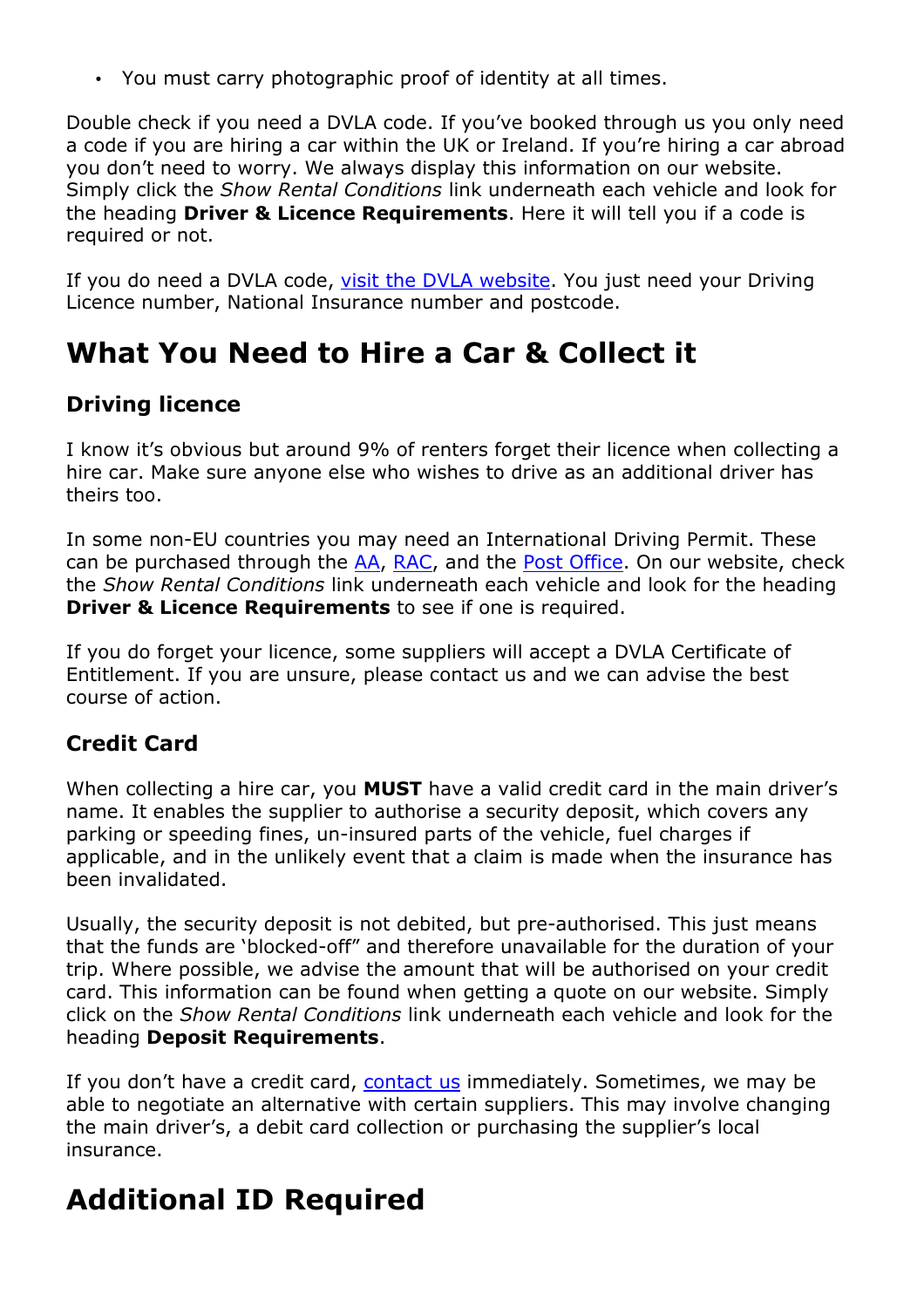• You must carry photographic proof of identity at all times.

Double check if you need a DVLA code. If you've booked through us you only need a code if you are hiring a car within the UK or Ireland. If you're hiring a car abroad you don't need to worry. We always display this information on our website. Simply click the *Show Rental Conditions* link underneath each vehicle and look for the heading **Driver & Licence Requirements**. Here it will tell you if a code is required or not.

If you do need a DVLA code, visit the DVLA website. You just need your Driving Licence number, National Insurance number and postcode.

## **What You Need to Hire a Car & Collect it**

### **Driving licence**

I know it's obvious but around 9% of renters forget their licence when collecting a hire car. Make sure anyone else who wishes to drive as an additional driver has theirs too.

In some non-EU countries you may need an International Driving Permit. These can be purchased through the  $AA$ , RAC, and the Post Office. On our website, check the *Show Rental Conditions* link underneath each vehicle and look for the heading **Driver & Licence Requirements** to see if one is required.

If you do forget your licence, some suppliers will accept a DVLA Certificate of Entitlement. If you are unsure, please contact us and we can advise the best course of action.

### **Credit Card**

When collecting a hire car, you **MUST** have a valid credit card in the main driver's name. It enables the supplier to authorise a security deposit, which covers any parking or speeding fines, un-insured parts of the vehicle, fuel charges if applicable, and in the unlikely event that a claim is made when the insurance has been invalidated.

Usually, the security deposit is not debited, but pre-authorised. This just means that the funds are 'blocked-off" and therefore unavailable for the duration of your trip. Where possible, we advise the amount that will be authorised on your credit card. This information can be found when getting a quote on our website. Simply click on the *Show Rental Conditions* link underneath each vehicle and look for the heading **Deposit Requirements**.

If you don't have a credit card, contact us immediately. Sometimes, we may be able to negotiate an alternative with certain suppliers. This may involve changing the main driver's, a debit card collection or purchasing the supplier's local insurance.

## **Additional ID Required**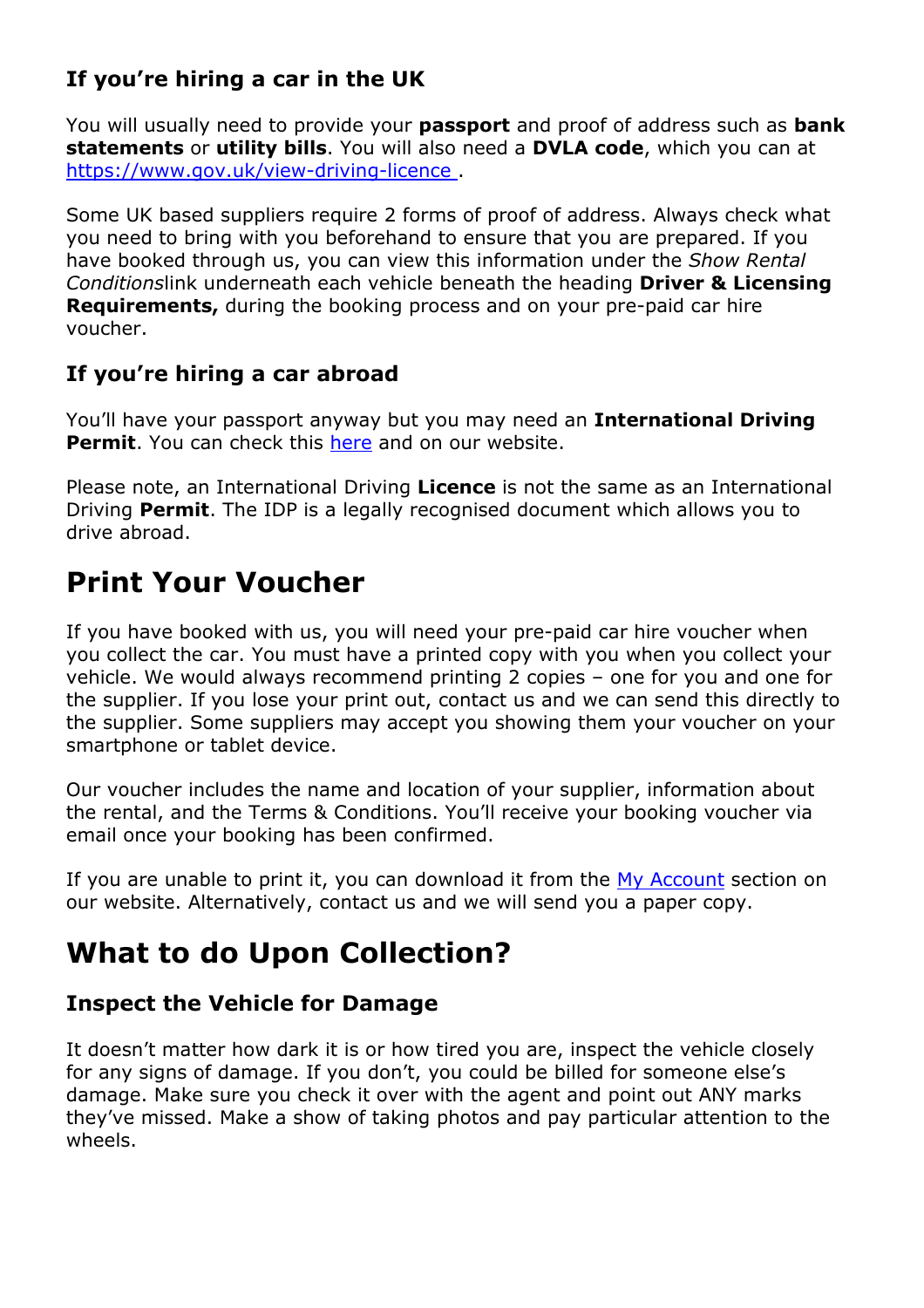### **If you're hiring a car in the UK**

You will usually need to provide your **passport** and proof of address such as **bank statements** or **utility bills**. You will also need a **DVLA code**, which you can at https://www.gov.uk/view-driving-licence .

Some UK based suppliers require 2 forms of proof of address. Always check what you need to bring with you beforehand to ensure that you are prepared. If you have booked through us, you can view this information under the *Show Rental Conditions*link underneath each vehicle beneath the heading **Driver & Licensing Requirements,** during the booking process and on your pre-paid car hire voucher.

### **If you're hiring a car abroad**

You'll have your passport anyway but you may need an **International Driving Permit.** You can check this here and on our website.

Please note, an International Driving **Licence** is not the same as an International Driving **Permit**. The IDP is a legally recognised document which allows you to drive abroad.

### **Print Your Voucher**

If you have booked with us, you will need your pre-paid car hire voucher when you collect the car. You must have a printed copy with you when you collect your vehicle. We would always recommend printing 2 copies – one for you and one for the supplier. If you lose your print out, contact us and we can send this directly to the supplier. Some suppliers may accept you showing them your voucher on your smartphone or tablet device.

Our voucher includes the name and location of your supplier, information about the rental, and the Terms & Conditions. You'll receive your booking voucher via email once your booking has been confirmed.

If you are unable to print it, you can download it from the  $My$  Account section on our website. Alternatively, contact us and we will send you a paper copy.

## **What to do Upon Collection?**

### **Inspect the Vehicle for Damage**

It doesn't matter how dark it is or how tired you are, inspect the vehicle closely for any signs of damage. If you don't, you could be billed for someone else's damage. Make sure you check it over with the agent and point out ANY marks they've missed. Make a show of taking photos and pay particular attention to the wheels.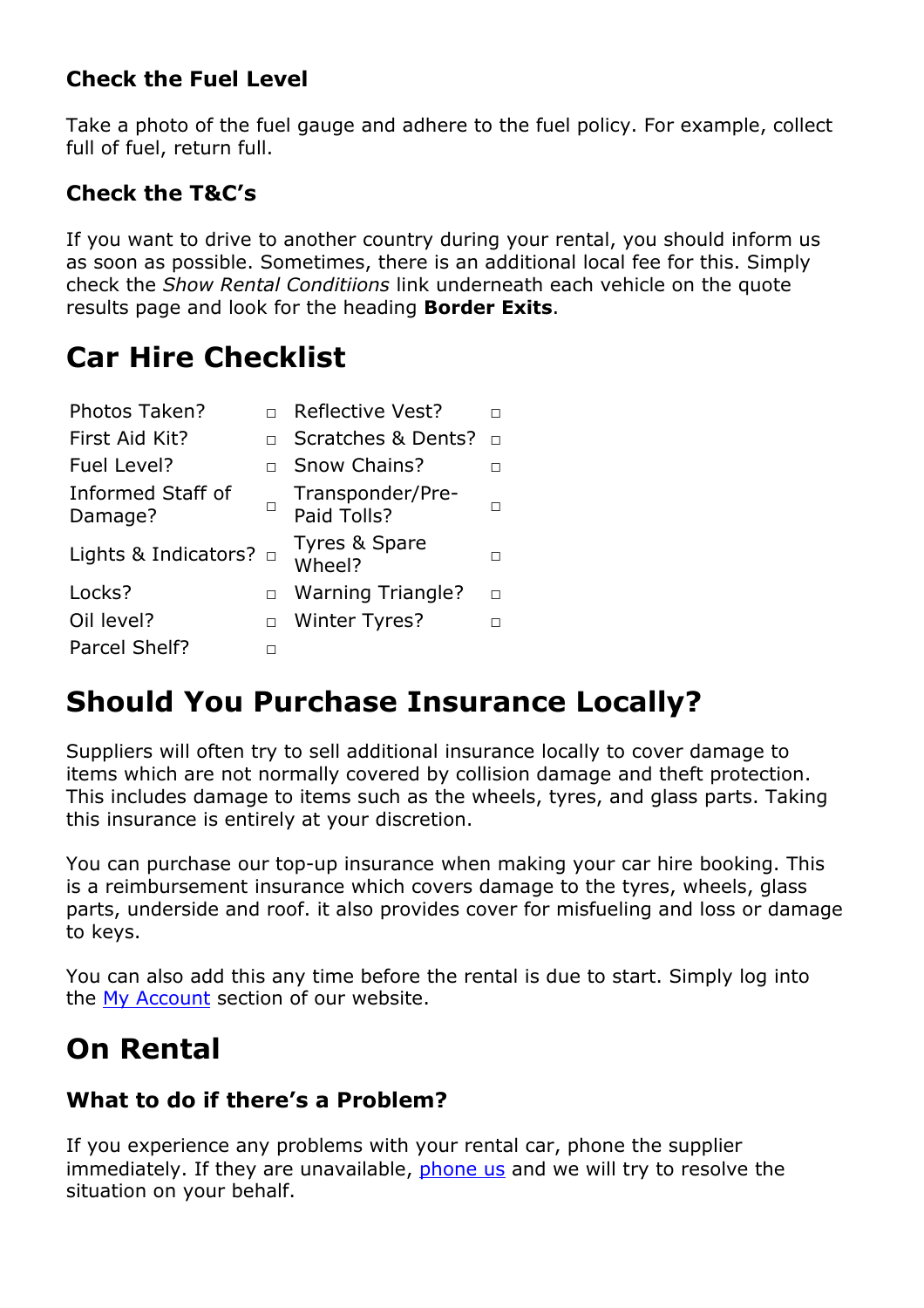### **Check the Fuel Level**

Take a photo of the fuel gauge and adhere to the fuel policy. For example, collect full of fuel, return full.

### **Check the T&C's**

If you want to drive to another country during your rental, you should inform us as soon as possible. Sometimes, there is an additional local fee for this. Simply check the *Show Rental Conditiions* link underneath each vehicle on the quote results page and look for the heading **Border Exits**.

## **Car Hire Checklist**

| Photos Taken?                  |        | <b>Reflective Vest?</b>         |        |
|--------------------------------|--------|---------------------------------|--------|
| First Aid Kit?                 |        | Scratches & Dents?              | $\Box$ |
| Fuel Level?                    |        | Snow Chains?                    | п      |
| Informed Staff of<br>Damage?   | ப      | Transponder/Pre-<br>Paid Tolls? | п      |
| Lights & Indicators? $\square$ |        | Tyres & Spare<br>Wheel?         | п      |
| Locks?                         | $\Box$ | <b>Warning Triangle?</b>        | п      |
| Oil level?                     | $\Box$ | <b>Winter Tyres?</b>            |        |
| Parcel Shelf?                  |        |                                 |        |

## **Should You Purchase Insurance Locally?**

Suppliers will often try to sell additional insurance locally to cover damage to items which are not normally covered by collision damage and theft protection. This includes damage to items such as the wheels, tyres, and glass parts. Taking this insurance is entirely at your discretion.

You can purchase our top-up insurance when making your car hire booking. This is a reimbursement insurance which covers damage to the tyres, wheels, glass parts, underside and roof. it also provides cover for misfueling and loss or damage to keys.

You can also add this any time before the rental is due to start. Simply log into the My Account section of our website.

## **On Rental**

#### **What to do if there's a Problem?**

If you experience any problems with your rental car, phone the supplier immediately. If they are unavailable, phone us and we will try to resolve the situation on your behalf.